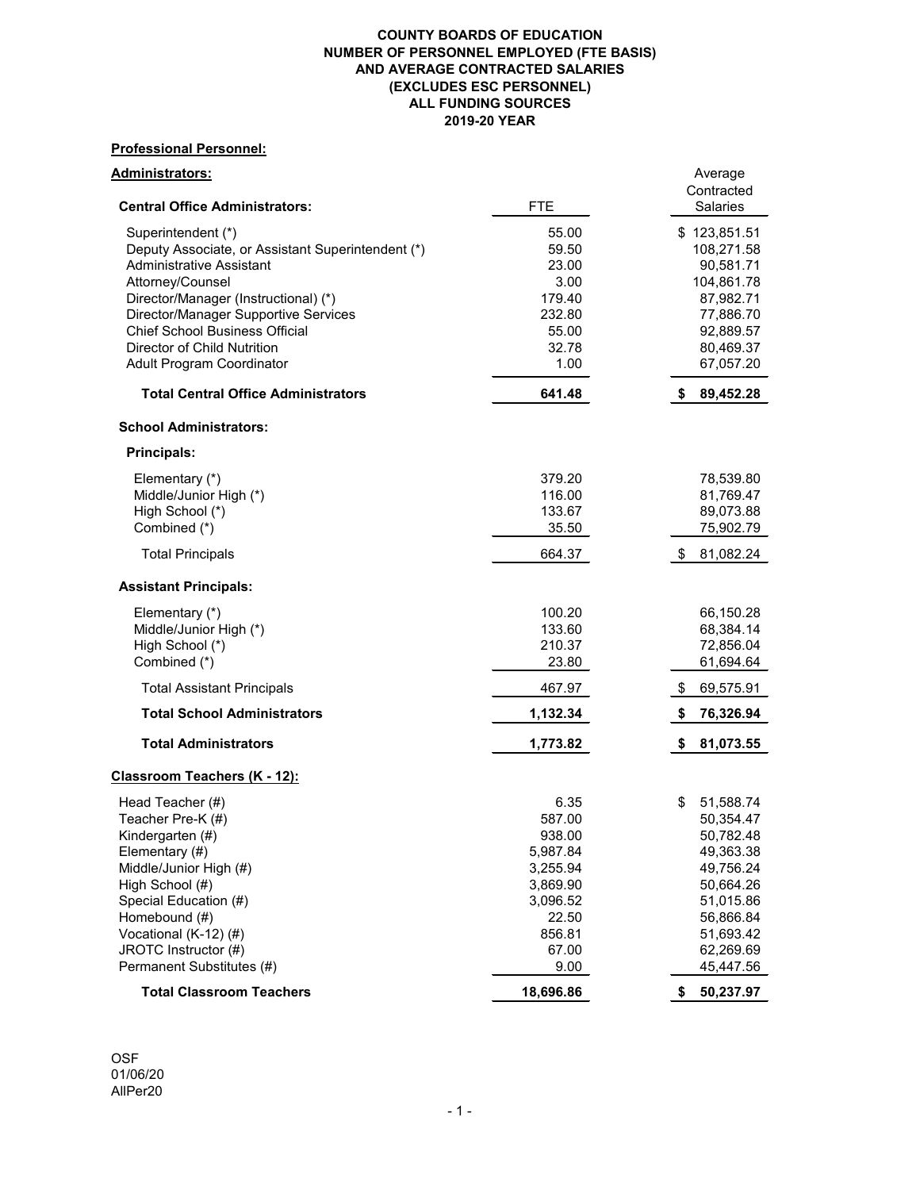# **Professional Personnel:**

| <u> Administrators:</u><br><b>Central Office Administrators:</b> | <b>FTE</b> | Average<br>Contracted<br><b>Salaries</b> |
|------------------------------------------------------------------|------------|------------------------------------------|
|                                                                  |            |                                          |
| Superintendent (*)                                               | 55.00      | \$123,851.51                             |
| Deputy Associate, or Assistant Superintendent (*)                | 59.50      | 108,271.58                               |
| <b>Administrative Assistant</b>                                  | 23.00      | 90,581.71                                |
| Attorney/Counsel                                                 | 3.00       | 104,861.78                               |
| Director/Manager (Instructional) (*)                             | 179.40     | 87,982.71                                |
| <b>Director/Manager Supportive Services</b>                      | 232.80     | 77,886.70                                |
| <b>Chief School Business Official</b>                            | 55.00      | 92,889.57                                |
| <b>Director of Child Nutrition</b>                               | 32.78      | 80,469.37                                |
| <b>Adult Program Coordinator</b>                                 | 1.00       | 67,057.20                                |
| <b>Total Central Office Administrators</b>                       | 641.48     | 89,452.28<br>S.                          |
| <b>School Administrators:</b>                                    |            |                                          |
| <b>Principals:</b>                                               |            |                                          |
| Elementary (*)                                                   | 379.20     | 78,539.80                                |
| Middle/Junior High (*)                                           | 116.00     | 81,769.47                                |
| High School (*)                                                  | 133.67     | 89,073.88                                |
| Combined (*)                                                     | 35.50      | 75,902.79                                |
| <b>Total Principals</b>                                          | 664.37     | 81,082.24<br>\$                          |
| <b>Assistant Principals:</b>                                     |            |                                          |
| Elementary (*)                                                   | 100.20     | 66,150.28                                |
| Middle/Junior High (*)                                           | 133.60     | 68,384.14                                |
| High School (*)                                                  | 210.37     | 72,856.04                                |
| Combined (*)                                                     | 23.80      | 61,694.64                                |
| <b>Total Assistant Principals</b>                                | 467.97     | 69,575.91<br>\$                          |
| <b>Total School Administrators</b>                               | 1,132.34   | 76,326.94<br>S.                          |
| <b>Total Administrators</b>                                      | 1,773.82   | 81,073.55<br>\$                          |
| <u> Classroom Teachers (K - 12):</u>                             |            |                                          |
| Head Teacher (#)                                                 | 6.35       | \$<br>51,588.74                          |
| Teacher Pre-K (#)                                                | 587.00     | 50,354.47                                |
| Kindergarten (#)                                                 | 938.00     | 50,782.48                                |
| Elementary (#)                                                   | 5,987.84   | 49,363.38                                |
| Middle/Junior High (#)                                           | 3,255.94   | 49,756.24                                |
| High School (#)                                                  | 3,869.90   | 50,664.26                                |
| Special Education (#)                                            | 3,096.52   | 51,015.86                                |
| Homebound (#)                                                    | 22.50      | 56,866.84                                |
| Vocational $(K-12)$ $(H)$                                        | 856.81     | 51,693.42                                |
| JROTC Instructor (#)                                             | 67.00      | 62,269.69                                |
| Permanent Substitutes (#)                                        | 9.00       | 45,447.56                                |
| <b>Total Classroom Teachers</b>                                  | 18,696.86  | 50,237.97<br>\$                          |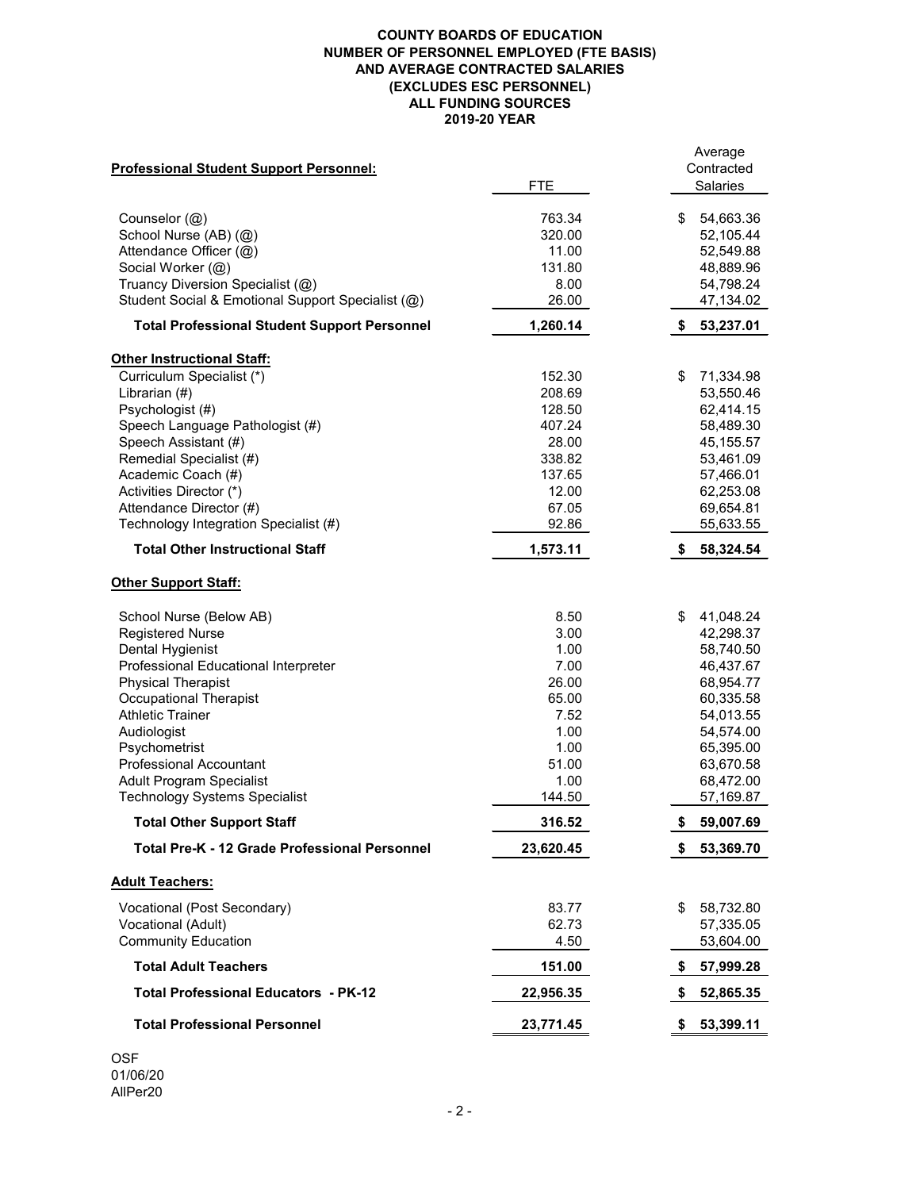| <b>Professional Student Support Personnel:</b>       | <b>FTE</b> | Average<br>Contracted<br><b>Salaries</b> |
|------------------------------------------------------|------------|------------------------------------------|
| Counselor $(Q)$                                      | 763.34     | 54,663.36<br>\$                          |
| School Nurse (AB) (@)                                | 320.00     | 52,105.44                                |
| Attendance Officer (@)                               | 11.00      | 52,549.88                                |
| Social Worker (@)                                    | 131.80     | 48,889.96                                |
| Truancy Diversion Specialist (@)                     | 8.00       | 54,798.24                                |
| Student Social & Emotional Support Specialist (@)    | 26.00      | 47,134.02                                |
| <b>Total Professional Student Support Personnel</b>  | 1,260.14   | 53,237.01<br>S.                          |
| <b>Other Instructional Staff:</b>                    |            |                                          |
| Curriculum Specialist (*)                            | 152.30     | \$<br>71,334.98                          |
| Librarian (#)                                        | 208.69     | 53,550.46                                |
| Psychologist (#)                                     | 128.50     | 62,414.15                                |
| Speech Language Pathologist (#)                      | 407.24     | 58,489.30                                |
| Speech Assistant (#)                                 | 28.00      | 45, 155.57                               |
| Remedial Specialist (#)                              | 338.82     | 53,461.09                                |
| Academic Coach (#)                                   | 137.65     | 57,466.01                                |
| Activities Director (*)                              | 12.00      | 62,253.08                                |
| Attendance Director (#)                              | 67.05      | 69,654.81                                |
| Technology Integration Specialist (#)                | 92.86      | 55,633.55                                |
| <b>Total Other Instructional Staff</b>               | 1,573.11   | 58,324.54                                |
| <b>Other Support Staff:</b>                          |            |                                          |
| School Nurse (Below AB)                              | 8.50       | 41,048.24<br>\$                          |
| <b>Registered Nurse</b>                              | 3.00       | 42,298.37                                |
| <b>Dental Hygienist</b>                              | 1.00       | 58,740.50                                |
| <b>Professional Educational Interpreter</b>          | 7.00       | 46,437.67                                |
| <b>Physical Therapist</b>                            | 26.00      | 68,954.77                                |
| <b>Occupational Therapist</b>                        | 65.00      | 60,335.58                                |
| <b>Athletic Trainer</b>                              | 7.52       | 54,013.55                                |
| Audiologist                                          | 1.00       | 54,574.00                                |
| Psychometrist                                        | 1.00       | 65,395.00                                |
| <b>Professional Accountant</b>                       | 51.00      | 63,670.58                                |
| <b>Adult Program Specialist</b>                      | 1.00       | 68,472.00                                |
| <b>Technology Systems Specialist</b>                 | 144.50     | 57,169.87                                |
| <b>Total Other Support Staff</b>                     | 316.52     | 59,007.69                                |
| <b>Total Pre-K - 12 Grade Professional Personnel</b> | 23,620.45  | 53,369.70<br>S.                          |
| <b>Adult Teachers:</b>                               |            |                                          |
| Vocational (Post Secondary)                          | 83.77      | 58,732.80<br>\$                          |
| <b>Vocational (Adult)</b>                            | 62.73      | 57,335.05                                |
| <b>Community Education</b>                           | 4.50       | 53,604.00                                |
| <b>Total Adult Teachers</b>                          | 151.00     | 57,999.28<br>\$                          |
| <b>Total Professional Educators - PK-12</b>          | 22,956.35  | 52,865.35<br>\$                          |
| <b>Total Professional Personnel</b>                  | 23,771.45  | 53,399.11                                |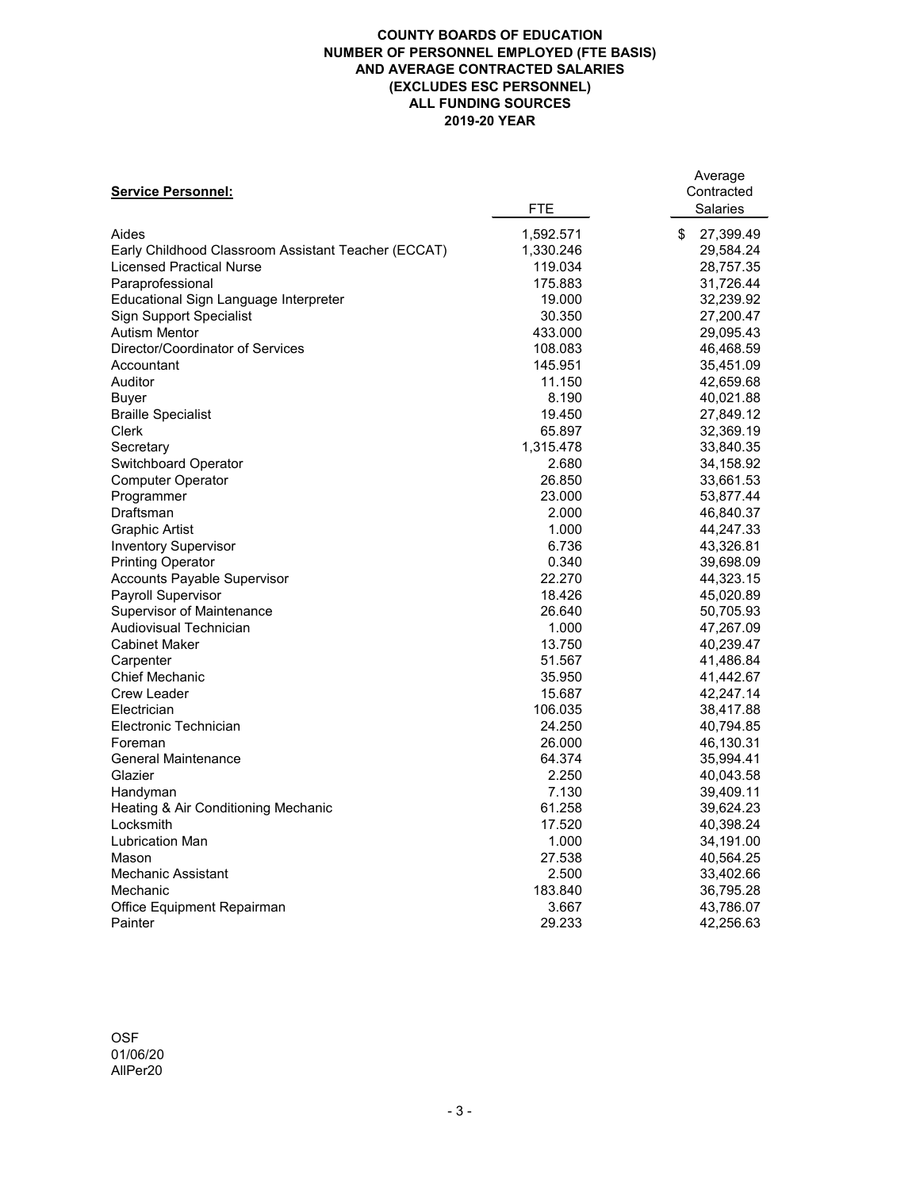|                                                     |            | Average         |
|-----------------------------------------------------|------------|-----------------|
| <b>Service Personnel:</b>                           |            | Contracted      |
|                                                     | <b>FTE</b> | <b>Salaries</b> |
| Aides                                               | 1,592.571  | 27,399.49<br>\$ |
| Early Childhood Classroom Assistant Teacher (ECCAT) | 1,330.246  | 29,584.24       |
| <b>Licensed Practical Nurse</b>                     | 119.034    | 28,757.35       |
| Paraprofessional                                    | 175.883    | 31,726.44       |
| Educational Sign Language Interpreter               | 19.000     | 32,239.92       |
| <b>Sign Support Specialist</b>                      | 30.350     | 27,200.47       |
| <b>Autism Mentor</b>                                | 433.000    | 29,095.43       |
| <b>Director/Coordinator of Services</b>             | 108.083    | 46,468.59       |
| Accountant                                          | 145.951    | 35,451.09       |
| <b>Auditor</b>                                      | 11.150     | 42,659.68       |
| <b>Buyer</b>                                        | 8.190      | 40,021.88       |
| <b>Braille Specialist</b>                           | 19.450     | 27,849.12       |
| <b>Clerk</b>                                        | 65.897     | 32,369.19       |
| Secretary                                           | 1,315.478  | 33,840.35       |
| <b>Switchboard Operator</b>                         | 2.680      | 34,158.92       |
| <b>Computer Operator</b>                            | 26.850     | 33,661.53       |
| Programmer                                          | 23.000     | 53,877.44       |
| Draftsman                                           | 2.000      | 46,840.37       |
| <b>Graphic Artist</b>                               | 1.000      | 44,247.33       |
| <b>Inventory Supervisor</b>                         | 6.736      | 43,326.81       |
| <b>Printing Operator</b>                            | 0.340      | 39,698.09       |
| <b>Accounts Payable Supervisor</b>                  | 22.270     | 44,323.15       |
| <b>Payroll Supervisor</b>                           | 18.426     | 45,020.89       |
| <b>Supervisor of Maintenance</b>                    | 26.640     | 50,705.93       |
| <b>Audiovisual Technician</b>                       | 1.000      | 47,267.09       |
| <b>Cabinet Maker</b>                                | 13.750     | 40,239.47       |
| Carpenter                                           | 51.567     | 41,486.84       |
| <b>Chief Mechanic</b>                               | 35.950     | 41,442.67       |
| <b>Crew Leader</b>                                  | 15.687     | 42,247.14       |
| Electrician                                         | 106.035    | 38,417.88       |
| <b>Electronic Technician</b>                        | 24.250     | 40,794.85       |
| Foreman                                             | 26.000     | 46,130.31       |
| <b>General Maintenance</b>                          | 64.374     | 35,994.41       |
| Glazier                                             | 2.250      | 40,043.58       |
| Handyman                                            | 7.130      | 39,409.11       |
| Heating & Air Conditioning Mechanic                 | 61.258     | 39,624.23       |
| Locksmith                                           | 17.520     | 40,398.24       |
| <b>Lubrication Man</b>                              | 1.000      | 34,191.00       |
| Mason                                               | 27.538     | 40,564.25       |
| <b>Mechanic Assistant</b>                           | 2.500      | 33,402.66       |
| Mechanic                                            | 183.840    | 36,795.28       |
| <b>Office Equipment Repairman</b>                   | 3.667      | 43,786.07       |
| Painter                                             | 29.233     | 42,256.63       |

OSF 01/06/20 AllPer20